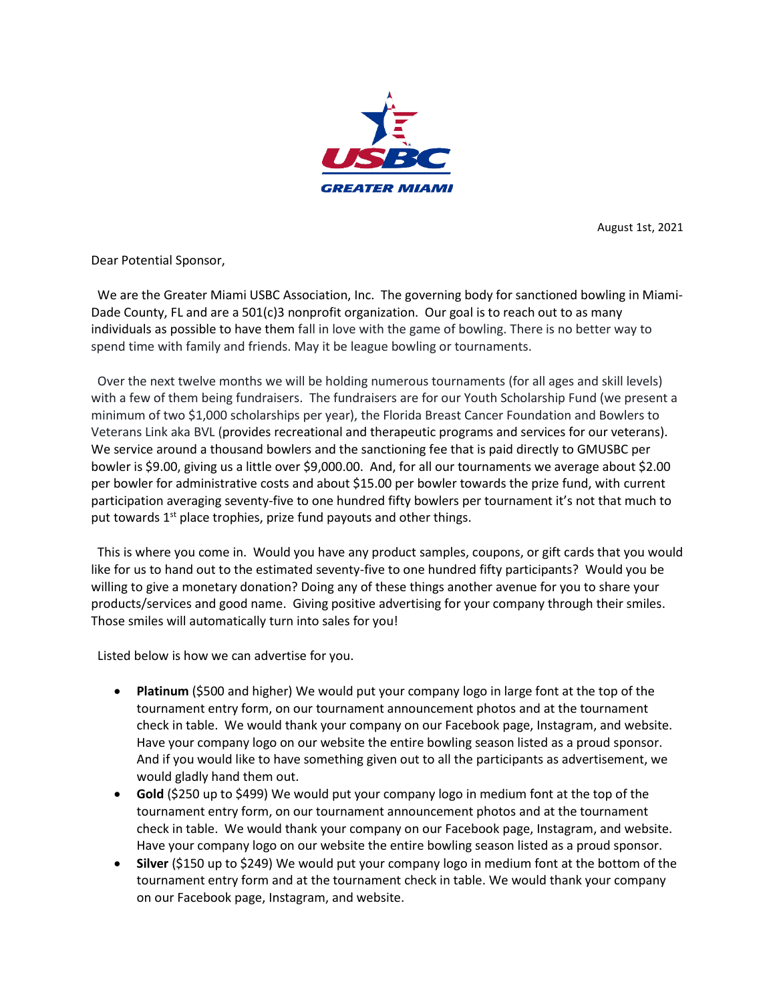

August 1st, 2021

Dear Potential Sponsor,

 We are the Greater Miami USBC Association, Inc. The governing body for sanctioned bowling in Miami-Dade County, FL and are a  $501(c)3$  nonprofit organization. Our goal is to reach out to as many individuals as possible to have them fall in love with the game of bowling. There is no better way to spend time with family and friends. May it be league bowling or tournaments.

 Over the next twelve months we will be holding numerous tournaments (for all ages and skill levels) with a few of them being fundraisers. The fundraisers are for our Youth Scholarship Fund (we present a minimum of two \$1,000 scholarships per year), the Florida Breast Cancer Foundation and Bowlers to Veterans Link aka BVL (provides recreational and therapeutic programs and services for our veterans). We service around a thousand bowlers and the sanctioning fee that is paid directly to GMUSBC per bowler is \$9.00, giving us a little over \$9,000.00. And, for all our tournaments we average about \$2.00 per bowler for administrative costs and about \$15.00 per bowler towards the prize fund, with current participation averaging seventy-five to one hundred fifty bowlers per tournament it's not that much to put towards 1<sup>st</sup> place trophies, prize fund payouts and other things.

 This is where you come in. Would you have any product samples, coupons, or gift cards that you would like for us to hand out to the estimated seventy-five to one hundred fifty participants? Would you be willing to give a monetary donation? Doing any of these things another avenue for you to share your products/services and good name. Giving positive advertising for your company through their smiles. Those smiles will automatically turn into sales for you!

Listed below is how we can advertise for you.

- **Platinum** (\$500 and higher) We would put your company logo in large font at the top of the tournament entry form, on our tournament announcement photos and at the tournament check in table. We would thank your company on our Facebook page, Instagram, and website. Have your company logo on our website the entire bowling season listed as a proud sponsor. And if you would like to have something given out to all the participants as advertisement, we would gladly hand them out.
- **Gold** (\$250 up to \$499) We would put your company logo in medium font at the top of the tournament entry form, on our tournament announcement photos and at the tournament check in table. We would thank your company on our Facebook page, Instagram, and website. Have your company logo on our website the entire bowling season listed as a proud sponsor.
- **Silver** (\$150 up to \$249) We would put your company logo in medium font at the bottom of the tournament entry form and at the tournament check in table. We would thank your company on our Facebook page, Instagram, and website.